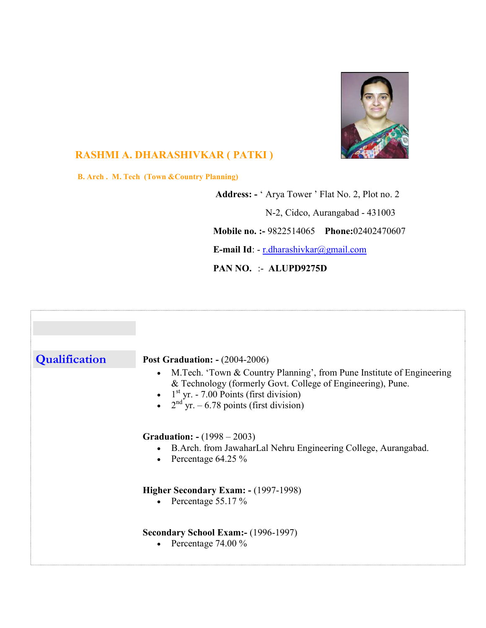

## RASHMI A. DHARASHIVKAR ( PATKI )

B. Arch . M. Tech (Town &Country Planning)

 Address: - ' Arya Tower ' Flat No. 2, Plot no. 2 N-2, Cidco, Aurangabad - 431003 Mobile no. :- 9822514065 Phone:02402470607 E-mail Id: - r.dharashivkar@gmail.com

PAN NO. :- ALUPD9275D

| Qualification | <b>Post Graduation: - (2004-2006)</b><br>M.Tech. 'Town & Country Planning', from Pune Institute of Engineering<br>$\bullet$<br>& Technology (formerly Govt. College of Engineering), Pune.<br>• $1^{\text{st}}$ yr. - 7.00 Points (first division)<br>• $2^{\text{nd}}$ yr. – 6.78 points (first division) |
|---------------|------------------------------------------------------------------------------------------------------------------------------------------------------------------------------------------------------------------------------------------------------------------------------------------------------------|
|               | <b>Graduation:</b> $-(1998 - 2003)$<br>B.Arch. from JawaharLal Nehru Engineering College, Aurangabad.<br>Percentage 64.25 %<br>$\bullet$                                                                                                                                                                   |
|               | Higher Secondary Exam: - (1997-1998)<br>• Percentage $55.17\%$                                                                                                                                                                                                                                             |
|               | <b>Secondary School Exam:- (1996-1997)</b><br>• Percentage $74.00\%$                                                                                                                                                                                                                                       |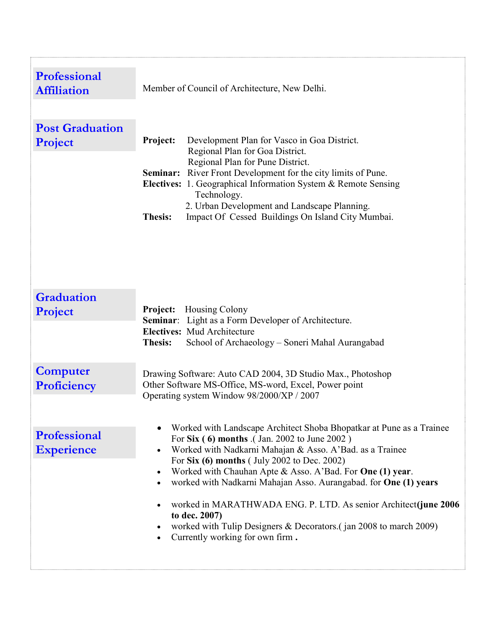| <b>Professional</b><br><b>Affiliation</b> | Member of Council of Architecture, New Delhi.                                                                                                                                                                                                                                                                                                                                                                                                                                                                                                                                               |
|-------------------------------------------|---------------------------------------------------------------------------------------------------------------------------------------------------------------------------------------------------------------------------------------------------------------------------------------------------------------------------------------------------------------------------------------------------------------------------------------------------------------------------------------------------------------------------------------------------------------------------------------------|
| <b>Post Graduation</b><br>Project         | Project:<br>Development Plan for Vasco in Goa District.<br>Regional Plan for Goa District.<br>Regional Plan for Pune District.<br>Seminar: River Front Development for the city limits of Pune.<br>Electives: 1. Geographical Information System & Remote Sensing<br>Technology.<br>2. Urban Development and Landscape Planning.<br>Impact Of Cessed Buildings On Island City Mumbai.<br><b>Thesis:</b>                                                                                                                                                                                     |
| <b>Graduation</b><br>Project              | Housing Colony<br><b>Project:</b><br>Seminar: Light as a Form Developer of Architecture.<br><b>Electives:</b> Mud Architecture<br>School of Archaeology - Soneri Mahal Aurangabad<br><b>Thesis:</b>                                                                                                                                                                                                                                                                                                                                                                                         |
| <b>Computer</b><br>Proficiency            | Drawing Software: Auto CAD 2004, 3D Studio Max., Photoshop<br>Other Software MS-Office, MS-word, Excel, Power point<br>Operating system Window 98/2000/XP / 2007                                                                                                                                                                                                                                                                                                                                                                                                                            |
| Professional<br><b>Experience</b>         | Worked with Landscape Architect Shoba Bhopatkar at Pune as a Trainee<br>For Six (6) months (Jan. 2002 to June 2002)<br>Worked with Nadkarni Mahajan & Asso. A'Bad. as a Trainee<br>$\bullet$<br>For Six (6) months (July 2002 to Dec. 2002)<br>Worked with Chauhan Apte & Asso. A'Bad. For One (1) year.<br>$\bullet$<br>worked with Nadkarni Mahajan Asso. Aurangabad. for One (1) years<br>٠<br>worked in MARATHWADA ENG. P. LTD. As senior Architect(june 2006<br>to dec. 2007)<br>worked with Tulip Designers & Decorators. (jan 2008 to march 2009)<br>Currently working for own firm. |